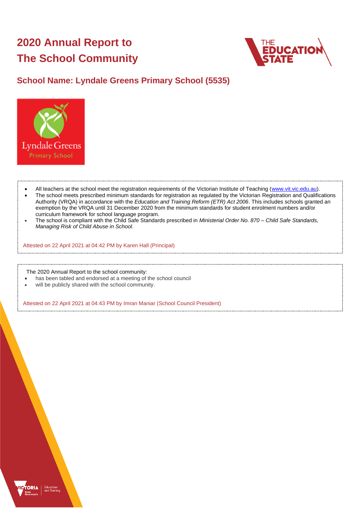# **2020 Annual Report to The School Community**



# **School Name: Lyndale Greens Primary School (5535)**



- All teachers at the school meet the registration requirements of the Victorian Institute of Teaching [\(www.vit.vic.edu.au\)](https://www.vit.vic.edu.au/).
- The school meets prescribed minimum standards for registration as regulated by the Victorian Registration and Qualifications Authority (VRQA) in accordance with the *Education and Training Reform (ETR) Act 2006*. This includes schools granted an exemption by the VRQA until 31 December 2020 from the minimum standards for student enrolment numbers and/or curriculum framework for school language program.
- The school is compliant with the Child Safe Standards prescribed in *Ministerial Order No. 870 – Child Safe Standards, Managing Risk of Child Abuse in School*.

Attested on 22 April 2021 at 04:42 PM by Karen Hall (Principal)

The 2020 Annual Report to the school community:

- has been tabled and endorsed at a meeting of the school council
- will be publicly shared with the school community.

Attested on 22 April 2021 at 04:43 PM by Imran Maniar (School Council President)

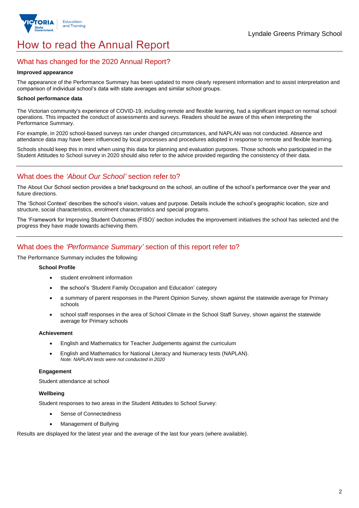

# How to read the Annual Report

### What has changed for the 2020 Annual Report?

#### **Improved appearance**

The appearance of the Performance Summary has been updated to more clearly represent information and to assist interpretation and comparison of individual school's data with state averages and similar school groups.

#### **School performance data**

The Victorian community's experience of COVID-19, including remote and flexible learning, had a significant impact on normal school operations. This impacted the conduct of assessments and surveys. Readers should be aware of this when interpreting the Performance Summary.

For example, in 2020 school-based surveys ran under changed circumstances, and NAPLAN was not conducted. Absence and attendance data may have been influenced by local processes and procedures adopted in response to remote and flexible learning.

Schools should keep this in mind when using this data for planning and evaluation purposes. Those schools who participated in the Student Attitudes to School survey in 2020 should also refer to the advice provided regarding the consistency of their data.

## What does the *'About Our School'* section refer to?

The About Our School section provides a brief background on the school, an outline of the school's performance over the year and future directions.

The 'School Context' describes the school's vision, values and purpose. Details include the school's geographic location, size and structure, social characteristics, enrolment characteristics and special programs.

The 'Framework for Improving Student Outcomes (FISO)' section includes the improvement initiatives the school has selected and the progress they have made towards achieving them.

## What does the *'Performance Summary'* section of this report refer to?

The Performance Summary includes the following:

#### **School Profile**

- student enrolment information
- the school's 'Student Family Occupation and Education' category
- a summary of parent responses in the Parent Opinion Survey, shown against the statewide average for Primary schools
- school staff responses in the area of School Climate in the School Staff Survey, shown against the statewide average for Primary schools

#### **Achievement**

- English and Mathematics for Teacher Judgements against the curriculum
- English and Mathematics for National Literacy and Numeracy tests (NAPLAN). *Note: NAPLAN tests were not conducted in 2020*

#### **Engagement**

Student attendance at school

#### **Wellbeing**

Student responses to two areas in the Student Attitudes to School Survey:

- Sense of Connectedness
- Management of Bullying

Results are displayed for the latest year and the average of the last four years (where available).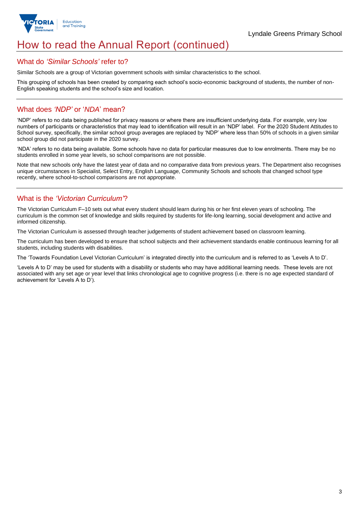

# How to read the Annual Report (continued)

#### What do *'Similar Schools'* refer to?

Similar Schools are a group of Victorian government schools with similar characteristics to the school.

This grouping of schools has been created by comparing each school's socio-economic background of students, the number of non-English speaking students and the school's size and location.

### What does *'NDP'* or '*NDA*' mean?

'NDP' refers to no data being published for privacy reasons or where there are insufficient underlying data. For example, very low numbers of participants or characteristics that may lead to identification will result in an 'NDP' label. For the 2020 Student Attitudes to School survey, specifically, the similar school group averages are replaced by 'NDP' where less than 50% of schools in a given similar school group did not participate in the 2020 survey.

'NDA' refers to no data being available. Some schools have no data for particular measures due to low enrolments. There may be no students enrolled in some year levels, so school comparisons are not possible.

Note that new schools only have the latest year of data and no comparative data from previous years. The Department also recognises unique circumstances in Specialist, Select Entry, English Language, Community Schools and schools that changed school type recently, where school-to-school comparisons are not appropriate.

## What is the *'Victorian Curriculum'*?

The Victorian Curriculum F–10 sets out what every student should learn during his or her first eleven years of schooling. The curriculum is the common set of knowledge and skills required by students for life-long learning, social development and active and informed citizenship.

The Victorian Curriculum is assessed through teacher judgements of student achievement based on classroom learning.

The curriculum has been developed to ensure that school subjects and their achievement standards enable continuous learning for all students, including students with disabilities.

The 'Towards Foundation Level Victorian Curriculum' is integrated directly into the curriculum and is referred to as 'Levels A to D'.

'Levels A to D' may be used for students with a disability or students who may have additional learning needs. These levels are not associated with any set age or year level that links chronological age to cognitive progress (i.e. there is no age expected standard of achievement for 'Levels A to D').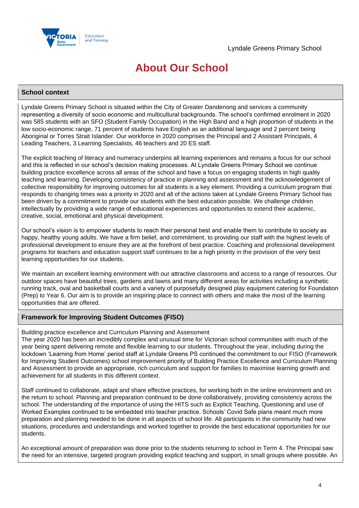

# **About Our School**

#### **School context**

Lyndale Greens Primary School is situated within the City of Greater Dandenong and services a community representing a diversity of socio economic and multicultural backgrounds. The school's confirmed enrolment in 2020 was 585 students with an SFO (Student Family Occupation) in the High Band and a high proportion of students in the low socio-economic range, 71 percent of students have English as an additional language and 2 percent being Aboriginal or Torres Strait Islander. Our workforce in 2020 comprises the Principal and 2 Assistant Principals, 4 Leading Teachers, 3 Learning Specialists, 46 teachers and 20 ES staff.

The explicit teaching of literacy and numeracy underpins all learning experiences and remains a focus for our school and this is reflected in our school's decision making processes. At Lyndale Greens Primary School we continue building practice excellence across all areas of the school and have a focus on engaging students in high quality teaching and learning. Developing consistency of practice in planning and assessment and the acknowledgement of collective responsibility for improving outcomes for all students is a key element. Providing a curriculum program that responds to changing times was a priority in 2020 and all of the actions taken at Lyndale Greens Primary School has been driven by a commitment to provide our students with the best education possible. We challenge children intellectually by providing a wide range of educational experiences and opportunities to extend their academic, creative, social, emotional and physical development.

Our school's vision is to empower students to reach their personal best and enable them to contribute to society as happy, healthy young adults. We have a firm belief, and commitment, to providing our staff with the highest levels of professional development to ensure they are at the forefront of best practice. Coaching and professional development programs for teachers and education support staff continues to be a high priority in the provision of the very best learning opportunities for our students.

We maintain an excellent learning environment with our attractive classrooms and access to a range of resources. Our outdoor spaces have beautiful trees, gardens and lawns and many different areas for activities including a synthetic running track, oval and basketball courts and a variety of purposefully designed play equipment catering for Foundation (Prep) to Year 6. Our aim is to provide an inspiring place to connect with others and make the most of the learning opportunities that are offered.

#### **Framework for Improving Student Outcomes (FISO)**

Building practice excellence and Curriculum Planning and Assessment

The year 2020 has been an incredibly complex and unusual time for Victorian school communities with much of the year being spent delivering remote and flexible learning to our students. Throughout the year, including during the lockdown 'Learning from Home' period staff at Lyndale Greens PS continued the commitment to our FISO (Framework for Improving Student Outcomes) school improvement priority of Building Practice Excellence and Curriculum Planning and Assessment to provide an appropriate, rich curriculum and support for families to maximise learning growth and achievement for all students in this different context.

Staff continued to collaborate, adapt and share effective practices, for working both in the online environment and on the return to school. Planning and preparation continued to be done collaboratively, providing consistency across the school. The understanding of the importance of using the HITS such as Explicit Teaching, Questioning and use of Worked Examples continued to be embedded into teacher practice. Schools' Covid Safe plans meant much more preparation and planning needed to be done in all aspects of school life. All participants in the community had new situations, procedures and understandings and worked together to provide the best educational opportunities for our students.

An exceptional amount of preparation was done prior to the students returning to school in Term 4. The Principal saw the need for an intensive, targeted program providing explicit teaching and support, in small groups where possible. An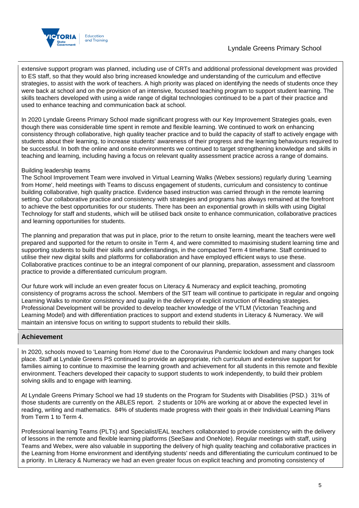

extensive support program was planned, including use of CRTs and additional professional development was provided to ES staff, so that they would also bring increased knowledge and understanding of the curriculum and effective strategies, to assist with the work of teachers. A high priority was placed on identifying the needs of students once they were back at school and on the provision of an intensive, focussed teaching program to support student learning. The skills teachers developed with using a wide range of digital technologies continued to be a part of their practice and used to enhance teaching and communication back at school.

In 2020 Lyndale Greens Primary School made significant progress with our Key Improvement Strategies goals, even though there was considerable time spent in remote and flexible learning. We continued to work on enhancing consistency through collaborative, high quality teacher practice and to build the capacity of staff to actively engage with students about their learning, to increase students' awareness of their progress and the learning behaviours required to be successful. In both the online and onsite environments we continued to target strengthening knowledge and skills in teaching and learning, including having a focus on relevant quality assessment practice across a range of domains.

#### Building leadership teams

The School Improvement Team were involved in Virtual Learning Walks (Webex sessions) regularly during 'Learning from Home', held meetings with Teams to discuss engagement of students, curriculum and consistency to continue building collaborative, high quality practice. Evidence based instruction was carried through in the remote learning setting. Our collaborative practice and consistency with strategies and programs has always remained at the forefront to achieve the best opportunities for our students. There has been an exponential growth in skills with using Digital Technology for staff and students, which will be utilised back onsite to enhance communication, collaborative practices and learning opportunities for students.

The planning and preparation that was put in place, prior to the return to onsite learning, meant the teachers were well prepared and supported for the return to onsite in Term 4, and were committed to maximising student learning time and supporting students to build their skills and understandings, in the compacted Term 4 timeframe. Staff continued to utilise their new digital skills and platforms for collaboration and have employed efficient ways to use these. Collaborative practices continue to be an integral component of our planning, preparation, assessment and classroom practice to provide a differentiated curriculum program.

Our future work will include an even greater focus on Literacy & Numeracy and explicit teaching, promoting consistency of programs across the school. Members of the SIT team will continue to participate in regular and ongoing Learning Walks to monitor consistency and quality in the delivery of explicit instruction of Reading strategies. Professional Development will be provided to develop teacher knowledge of the VTLM (Victorian Teaching and Learning Model) and with differentiation practices to support and extend students in Literacy & Numeracy. We will maintain an intensive focus on writing to support students to rebuild their skills.

#### **Achievement**

In 2020, schools moved to 'Learning from Home' due to the Coronavirus Pandemic lockdown and many changes took place. Staff at Lyndale Greens PS continued to provide an appropriate, rich curriculum and extensive support for families aiming to continue to maximise the learning growth and achievement for all students in this remote and flexible environment. Teachers developed their capacity to support students to work independently, to build their problem solving skills and to engage with learning.

At Lyndale Greens Primary School we had 19 students on the Program for Students with Disabilities (PSD.) 31% of those students are currently on the ABLES report. 2 students or 10% are working at or above the expected level in reading, writing and mathematics. 84% of students made progress with their goals in their Individual Learning Plans from Term 1 to Term 4.

Professional learning Teams (PLTs) and Specialist/EAL teachers collaborated to provide consistency with the delivery of lessons in the remote and flexible learning platforms (SeeSaw and OneNote). Regular meetings with staff, using Teams and Webex, were also valuable in supporting the delivery of high quality teaching and collaborative practices in the Learning from Home environment and identifying students' needs and differentiating the curriculum continued to be a priority. In Literacy & Numeracy we had an even greater focus on explicit teaching and promoting consistency of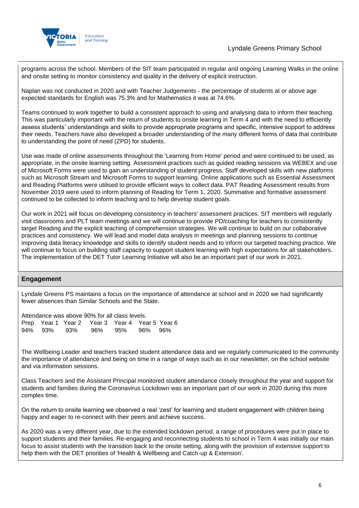

programs across the school. Members of the SIT team participated in regular and ongoing Learning Walks in the online and onsite setting to monitor consistency and quality in the delivery of explicit instruction.

Naplan was not conducted in 2020 and with Teacher Judgements - the percentage of students at or above age expected standards for English was 75.3% and for Mathematics it was at 74.6%.

Teams continued to work together to build a consistent approach to using and analysing data to inform their teaching. This was particularly important with the return of students to onsite learning in Term 4 and with the need to efficiently assess students' understandings and skills to provide appropriate programs and specific, intensive support to address their needs. Teachers have also developed a broader understanding of the many different forms of data that contribute to understanding the point of need (ZPD) for students.

Use was made of online assessments throughout the 'Learning from Home' period and were continued to be used, as appropriate, in the onsite learning setting. Assessment practices such as guided reading sessions via WEBEX and use of Microsoft Forms were used to gain an understanding of student progress. Staff developed skills with new platforms such as Microsoft Stream and Microsoft Forms to support learning. Online applications such as Essential Assessment and Reading Platforms were utilised to provide efficient ways to collect data. PAT Reading Assessment results from November 2019 were used to inform planning of Reading for Term 1, 2020. Summative and formative assessment continued to be collected to inform teaching and to help develop student goals.

Our work in 2021 will focus on developing consistency in teachers' assessment practices. SIT members will regularly visit classrooms and PLT team meetings and we will continue to provide PD/coaching for teachers to consistently target Reading and the explicit teaching of comprehension strategies. We will continue to build on our collaborative practices and consistency. We will lead and model data analysis in meetings and planning sessions to continue improving data literacy knowledge and skills to identify student needs and to inform our targeted teaching practice. We will continue to focus on building staff capacity to support student learning with high expectations for all stakeholders. The implementation of the DET Tutor Learning Initiative will also be an important part of our work in 2021.

#### **Engagement**

Lyndale Greens PS maintains a focus on the importance of attendance at school and in 2020 we had significantly fewer absences than Similar Schools and the State.

| Attendance was above 90% for all class levels. |  |                                                |  |  |  |  |
|------------------------------------------------|--|------------------------------------------------|--|--|--|--|
|                                                |  | Prep Year 1 Year 2 Year 3 Year 4 Year 5 Year 6 |  |  |  |  |
|                                                |  | 94% 93% 93% 96% 95% 96% 96%                    |  |  |  |  |

The Wellbeing Leader and teachers tracked student attendance data and we regularly communicated to the community the importance of attendance and being on time in a range of ways such as in our newsletter, on the school website and via information sessions.

Class Teachers and the Assistant Principal monitored student attendance closely throughout the year and support for students and families during the Coronavirus Lockdown was an important part of our work in 2020 during this more complex time.

On the return to onsite learning we observed a real 'zest' for learning and student engagement with children being happy and eager to re-connect with their peers and achieve success.

As 2020 was a very different year, due to the extended lockdown period, a range of procedures were put in place to support students and their families. Re-engaging and reconnecting students to school in Term 4 was initially our main focus to assist students with the transition back to the onsite setting, along with the provision of extensive support to help them with the DET priorities of 'Health & Wellbeing and Catch-up & Extension'.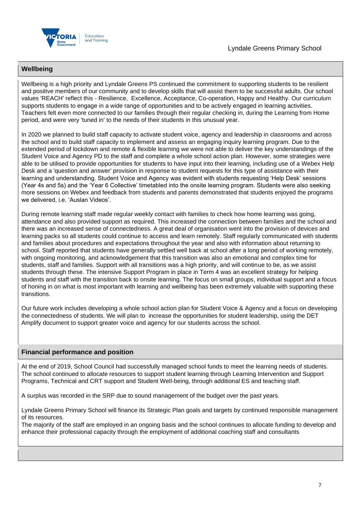

#### **Wellbeing**

Wellbeing is a high priority and Lyndale Greens PS continued the commitment to supporting students to be resilient and positive members of our community and to develop skills that will assist them to be successful adults. Our school values 'REACH' reflect this - Resilience, Excellence, Acceptance, Co-operation, Happy and Healthy. Our curriculum supports students to engage in a wide range of opportunities and to be actively engaged in learning activities. Teachers felt even more connected to our families through their regular checking in, during the Learning from Home period, and were very 'tuned in' to the needs of their students in this unusual year.

In 2020 we planned to build staff capacity to activate student voice, agency and leadership in classrooms and across the school and to build staff capacity to implement and assess an engaging inquiry learning program. Due to the extended period of lockdown and remote & flexible learning we were not able to deliver the key understandings of the Student Voice and Agency PD to the staff and complete a whole school action plan. However, some strategies were able to be utilised to provide opportunities for students to have input into their learning, including use of a Webex Help Desk and a 'question and answer' provision in response to student requests for this type of assistance with their learning and understanding. Student Voice and Agency was evident with students requesting 'Help Desk' sessions (Year 4s and 5s) and the 'Year 6 Collective' timetabled into the onsite learning program. Students were also seeking more sessions on Webex and feedback from students and parents demonstrated that students enjoyed the programs we delivered, i.e. 'Auslan Videos'.

During remote learning staff made regular weekly contact with families to check how home learning was going, attendance and also provided support as required. This increased the connection between families and the school and there was an increased sense of connectedness. A great deal of organisation went into the provision of devices and learning packs so all students could continue to access and learn remotely. Staff regularly communicated with students and families about procedures and expectations throughout the year and also with information about returning to school. Staff reported that students have generally settled well back at school after a long period of working remotely, with ongoing monitoring, and acknowledgement that this transition was also an emotional and complex time for students, staff and families. Support with all transitions was a high priority, and will continue to be, as we assist students through these. The intensive Support Program in place in Term 4 was an excellent strategy for helping students and staff with the transition back to onsite learning. The focus on small groups, individual support and a focus of honing in on what is most important with learning and wellbeing has been extremely valuable with supporting these transitions.

Our future work includes developing a whole school action plan for Student Voice & Agency and a focus on developing the connectedness of students. We will plan to increase the opportunities for student leadership, using the DET Amplify document to support greater voice and agency for our students across the school.

#### **Financial performance and position**

At the end of 2019, School Council had successfully managed school funds to meet the learning needs of students. The school continued to allocate resources to support student learning through Learning Intervention and Support Programs, Technical and CRT support and Student Well-being, through additional ES and teaching staff.

A surplus was recorded in the SRP due to sound management of the budget over the past years.

Lyndale Greens Primary School will finance its Strategic Plan goals and targets by continued responsible management of its resources.

The majority of the staff are employed in an ongoing basis and the school continues to allocate funding to develop and enhance their professional capacity through the employment of additional coaching staff and consultants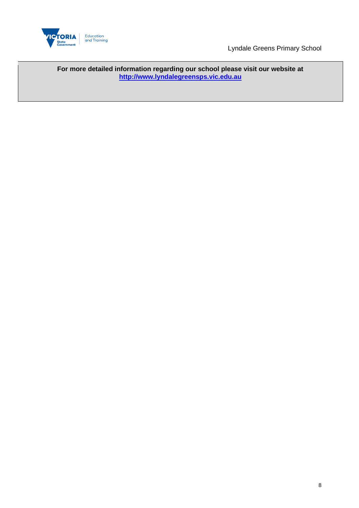

Lyndale Greens Primary School

**For more detailed information regarding our school please visit our website at [http://www.lyndalegreensps.vic.edu.au](http://www.lyndalegreensps.vic.edu.au/)**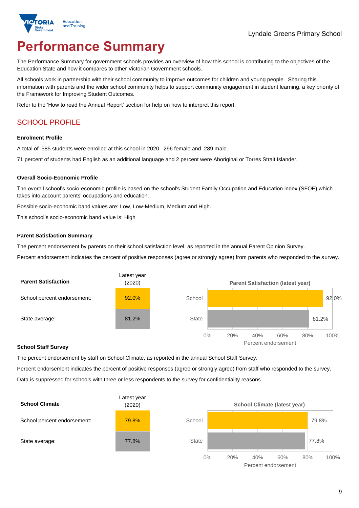

# **Performance Summary**

The Performance Summary for government schools provides an overview of how this school is contributing to the objectives of the Education State and how it compares to other Victorian Government schools.

All schools work in partnership with their school community to improve outcomes for children and young people. Sharing this information with parents and the wider school community helps to support community engagement in student learning, a key priority of the Framework for Improving Student Outcomes.

Refer to the 'How to read the Annual Report' section for help on how to interpret this report.

# SCHOOL PROFILE

#### **Enrolment Profile**

A total of 585 students were enrolled at this school in 2020, 296 female and 289 male.

71 percent of students had English as an additional language and 2 percent were Aboriginal or Torres Strait Islander.

#### **Overall Socio-Economic Profile**

The overall school's socio-economic profile is based on the school's Student Family Occupation and Education index (SFOE) which takes into account parents' occupations and education.

Possible socio-economic band values are: Low, Low-Medium, Medium and High.

This school's socio-economic band value is: High

#### **Parent Satisfaction Summary**

The percent endorsement by parents on their school satisfaction level, as reported in the annual Parent Opinion Survey.

Percent endorsement indicates the percent of positive responses (agree or strongly agree) from parents who responded to the survey.



#### **School Staff Survey**

The percent endorsement by staff on School Climate, as reported in the annual School Staff Survey.

Percent endorsement indicates the percent of positive responses (agree or strongly agree) from staff who responded to the survey. Data is suppressed for schools with three or less respondents to the survey for confidentiality reasons.



Percent endorsement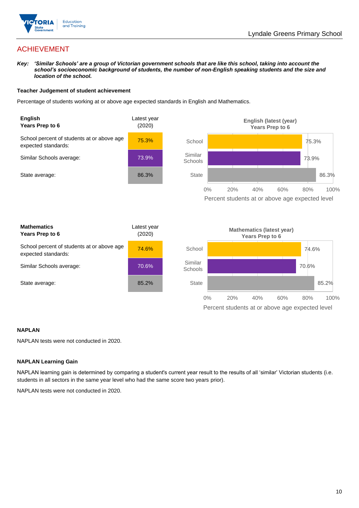

# ACHIEVEMENT

*Key: 'Similar Schools' are a group of Victorian government schools that are like this school, taking into account the school's socioeconomic background of students, the number of non-English speaking students and the size and location of the school.*

#### **Teacher Judgement of student achievement**

Percentage of students working at or above age expected standards in English and Mathematics.



#### **NAPLAN**

NAPLAN tests were not conducted in 2020.

#### **NAPLAN Learning Gain**

NAPLAN learning gain is determined by comparing a student's current year result to the results of all 'similar' Victorian students (i.e. students in all sectors in the same year level who had the same score two years prior).

NAPLAN tests were not conducted in 2020.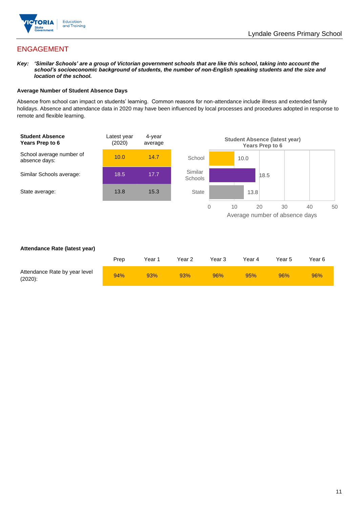

# ENGAGEMENT

*Key: 'Similar Schools' are a group of Victorian government schools that are like this school, taking into account the school's socioeconomic background of students, the number of non-English speaking students and the size and location of the school.*

#### **Average Number of Student Absence Days**

Absence from school can impact on students' learning. Common reasons for non-attendance include illness and extended family holidays. Absence and attendance data in 2020 may have been influenced by local processes and procedures adopted in response to remote and flexible learning.



#### **Attendance Rate (latest year)**

|                                             | Prep | Year 1 | Year 2 | Year 3 | Year 4 | Year 5 | Year 6 |
|---------------------------------------------|------|--------|--------|--------|--------|--------|--------|
| Attendance Rate by year level<br>$(2020)$ : | 94%  | 93%    | 93%    | 96%    | 95%    | 96%    | 96%    |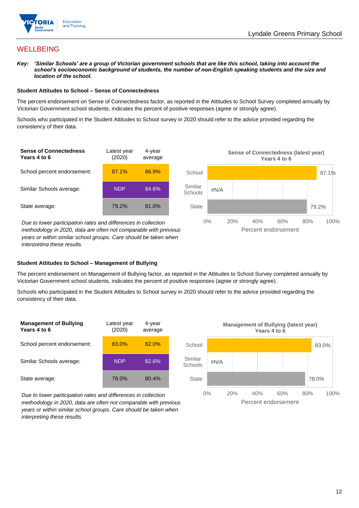

## **WELLBEING**

*Key: 'Similar Schools' are a group of Victorian government schools that are like this school, taking into account the school's socioeconomic background of students, the number of non-English speaking students and the size and location of the school.*

#### **Student Attitudes to School – Sense of Connectedness**

The percent endorsement on Sense of Connectedness factor, as reported in the Attitudes to School Survey completed annually by Victorian Government school students, indicates the percent of positive responses (agree or strongly agree).

Schools who participated in the Student Attitudes to School survey in 2020 should refer to the advice provided regarding the consistency of their data.



*methodology in 2020, data are often not comparable with previous years or within similar school groups. Care should be taken when interpreting these results.*

#### **Student Attitudes to School – Management of Bullying**

The percent endorsement on Management of Bullying factor, as reported in the Attitudes to School Survey completed annually by Victorian Government school students, indicates the percent of positive responses (agree or strongly agree).

Schools who participated in the Student Attitudes to School survey in 2020 should refer to the advice provided regarding the consistency of their data.

![](_page_11_Figure_12.jpeg)

*Due to lower participation rates and differences in collection methodology in 2020, data are often not comparable with previous years or within similar school groups. Care should be taken when interpreting these results.*

![](_page_11_Figure_14.jpeg)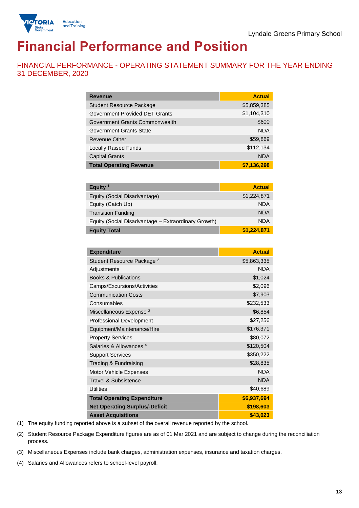![](_page_12_Picture_1.jpeg)

# **Financial Performance and Position**

FINANCIAL PERFORMANCE - OPERATING STATEMENT SUMMARY FOR THE YEAR ENDING 31 DECEMBER, 2020

| <b>Revenue</b>                  | <b>Actual</b> |
|---------------------------------|---------------|
| <b>Student Resource Package</b> | \$5,859,385   |
| Government Provided DET Grants  | \$1,104,310   |
| Government Grants Commonwealth  | \$600         |
| Government Grants State         | <b>NDA</b>    |
| <b>Revenue Other</b>            | \$59,869      |
| <b>Locally Raised Funds</b>     | \$112,134     |
| <b>Capital Grants</b>           | <b>NDA</b>    |
| <b>Total Operating Revenue</b>  | \$7,136,298   |

| Equity $1$                                          | <b>Actual</b> |
|-----------------------------------------------------|---------------|
| Equity (Social Disadvantage)                        | \$1,224,871   |
| Equity (Catch Up)                                   | <b>NDA</b>    |
| <b>Transition Funding</b>                           | <b>NDA</b>    |
| Equity (Social Disadvantage - Extraordinary Growth) | <b>NDA</b>    |
| <b>Equity Total</b>                                 | \$1,224,871   |

| <b>Expenditure</b>                    | <b>Actual</b> |
|---------------------------------------|---------------|
| Student Resource Package <sup>2</sup> | \$5,863,335   |
| Adjustments                           | <b>NDA</b>    |
| <b>Books &amp; Publications</b>       | \$1,024       |
| Camps/Excursions/Activities           | \$2,096       |
| <b>Communication Costs</b>            | \$7,903       |
| Consumables                           | \$232,533     |
| Miscellaneous Expense <sup>3</sup>    | \$6,854       |
| <b>Professional Development</b>       | \$27,256      |
| Equipment/Maintenance/Hire            | \$176,371     |
| <b>Property Services</b>              | \$80,072      |
| Salaries & Allowances <sup>4</sup>    | \$120,504     |
| <b>Support Services</b>               | \$350,222     |
| Trading & Fundraising                 | \$28,835      |
| Motor Vehicle Expenses                | <b>NDA</b>    |
| Travel & Subsistence                  | <b>NDA</b>    |
| <b>Utilities</b>                      | \$40,689      |
| <b>Total Operating Expenditure</b>    | \$6,937,694   |
| <b>Net Operating Surplus/-Deficit</b> | \$198,603     |
| <b>Asset Acquisitions</b>             | \$43,023      |

(1) The equity funding reported above is a subset of the overall revenue reported by the school.

(2) Student Resource Package Expenditure figures are as of 01 Mar 2021 and are subject to change during the reconciliation process.

(3) Miscellaneous Expenses include bank charges, administration expenses, insurance and taxation charges.

(4) Salaries and Allowances refers to school-level payroll.